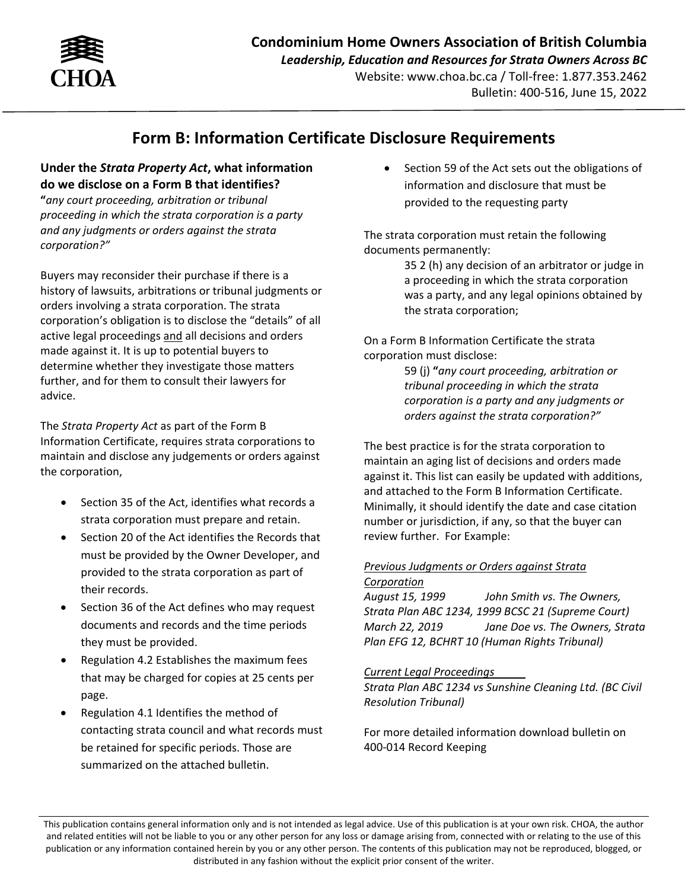

## **Form B: Information Certificate Disclosure Requirements**

## **Under the** *Strata Property Act***, what information do we disclose on a Form B that identifies?**

**"***any court proceeding, arbitration or tribunal proceeding in which the strata corporation is a party and any judgments or orders against the strata corporation?"* 

Buyers may reconsider their purchase if there is a history of lawsuits, arbitrations or tribunal judgments or orders involving a strata corporation. The strata corporation's obligation is to disclose the "details" of all active legal proceedings and all decisions and orders made against it. It is up to potential buyers to determine whether they investigate those matters further, and for them to consult their lawyers for advice.

The *Strata Property Act* as part of the Form B Information Certificate, requires strata corporations to maintain and disclose any judgements or orders against the corporation,

- Section 35 of the Act, identifies what records a strata corporation must prepare and retain.
- Section 20 of the Act identifies the Records that must be provided by the Owner Developer, and provided to the strata corporation as part of their records.
- Section 36 of the Act defines who may request documents and records and the time periods they must be provided.
- Regulation 4.2 Establishes the maximum fees that may be charged for copies at 25 cents per page.
- Regulation 4.1 Identifies the method of contacting strata council and what records must be retained for specific periods. Those are summarized on the attached bulletin.

 Section 59 of the Act sets out the obligations of information and disclosure that must be provided to the requesting party

The strata corporation must retain the following documents permanently:

> 35 2 (h) any decision of an arbitrator or judge in a proceeding in which the strata corporation was a party, and any legal opinions obtained by the strata corporation;

On a Form B Information Certificate the strata corporation must disclose:

> 59 (j) **"***any court proceeding, arbitration or tribunal proceeding in which the strata corporation is a party and any judgments or orders against the strata corporation?"*

The best practice is for the strata corporation to maintain an aging list of decisions and orders made against it. This list can easily be updated with additions, and attached to the Form B Information Certificate. Minimally, it should identify the date and case citation number or jurisdiction, if any, so that the buyer can review further. For Example:

## *Previous Judgments or Orders against Strata Corporation*

*August 15, 1999 John Smith vs. The Owners, Strata Plan ABC 1234, 1999 BCSC 21 (Supreme Court) March 22, 2019 Jane Doe vs. The Owners, Strata Plan EFG 12, BCHRT 10 (Human Rights Tribunal)*

## *Current Legal Proceedings*

*Strata Plan ABC 1234 vs Sunshine Cleaning Ltd. (BC Civil Resolution Tribunal)* 

For more detailed information download bulletin on 400‐014 Record Keeping

This publication contains general information only and is not intended as legal advice. Use of this publication is at your own risk. CHOA, the author and related entities will not be liable to you or any other person for any loss or damage arising from, connected with or relating to the use of this publication or any information contained herein by you or any other person. The contents of this publication may not be reproduced, blogged, or distributed in any fashion without the explicit prior consent of the writer.